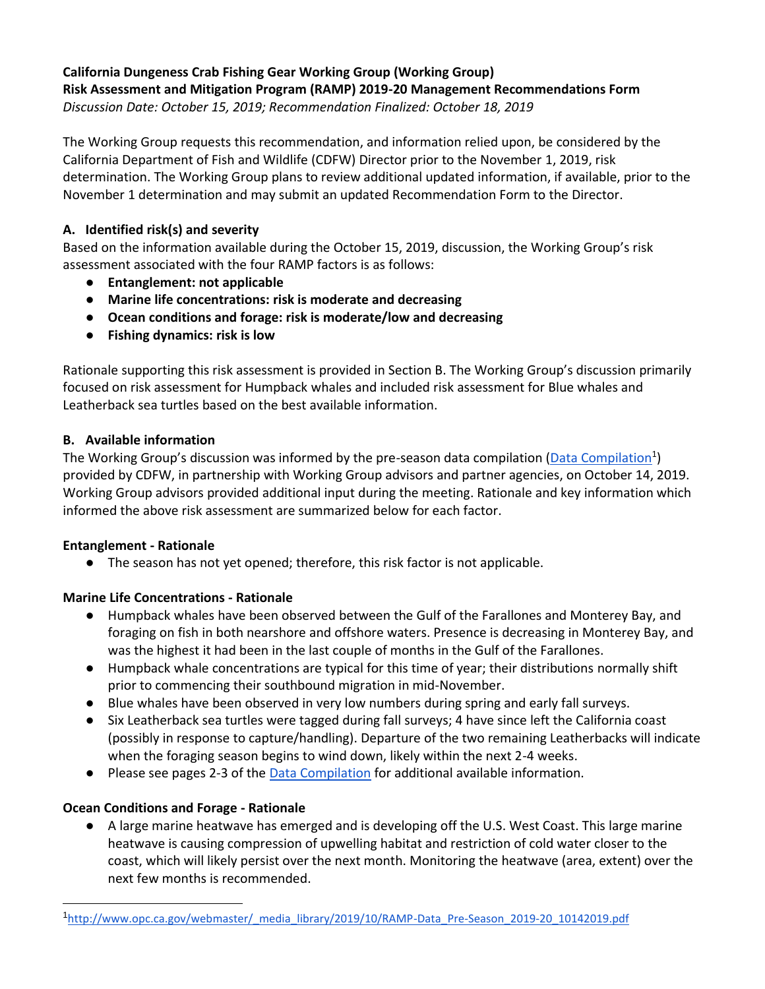#### **California Dungeness Crab Fishing Gear Working Group (Working Group) Risk Assessment and Mitigation Program (RAMP) 2019-20 Management Recommendations Form** *Discussion Date: October 15, 2019; Recommendation Finalized: October 18, 2019*

The Working Group requests this recommendation, and information relied upon, be considered by the California Department of Fish and Wildlife (CDFW) Director prior to the November 1, 2019, risk determination. The Working Group plans to review additional updated information, if available, prior to the November 1 determination and may submit an updated Recommendation Form to the Director.

### **A. Identified risk(s) and severity**

Based on the information available during the October 15, 2019, discussion, the Working Group's risk assessment associated with the four RAMP factors is as follows:

- **Entanglement: not applicable**
- **Marine life concentrations: risk is moderate and decreasing**
- **Ocean conditions and forage: risk is moderate/low and decreasing**
- **Fishing dynamics: risk is low**

Rationale supporting this risk assessment is provided in Section B. The Working Group's discussion primarily focused on risk assessment for Humpback whales and included risk assessment for Blue whales and Leatherback sea turtles based on the best available information.

### **B. Available information**

The Working Group's discussion was informed by the pre-season data compilation [\(Data Compilation](http://www.opc.ca.gov/webmaster/_media_library/2019/10/RAMP-Data_Pre-Season_2019-20_10142019.pdf)<sup>1</sup>) provided by CDFW, in partnership with Working Group advisors and partner agencies, on October 14, 2019. Working Group advisors provided additional input during the meeting. Rationale and key information which informed the above risk assessment are summarized below for each factor.

### **Entanglement - Rationale**

● The season has not yet opened; therefore, this risk factor is not applicable.

# **Marine Life Concentrations - Rationale**

- Humpback whales have been observed between the Gulf of the Farallones and Monterey Bay, and foraging on fish in both nearshore and offshore waters. Presence is decreasing in Monterey Bay, and was the highest it had been in the last couple of months in the Gulf of the Farallones.
- Humpback whale concentrations are typical for this time of year; their distributions normally shift prior to commencing their southbound migration in mid-November.
- Blue whales have been observed in very low numbers during spring and early fall surveys.
- Six Leatherback sea turtles were tagged during fall surveys; 4 have since left the California coast (possibly in response to capture/handling). Departure of the two remaining Leatherbacks will indicate when the foraging season begins to wind down, likely within the next 2-4 weeks.
- Please see pages 2-3 of the [Data Compilation](http://www.opc.ca.gov/webmaster/_media_library/2019/10/RAMP-Data_Pre-Season_2019-20_10142019.pdf) for additional available information.

# **Ocean Conditions and Forage - Rationale**

● A large marine heatwave has emerged and is developing off the U.S. West Coast. This large marine heatwave is causing compression of upwelling habitat and restriction of cold water closer to the coast, which will likely persist over the next month. Monitoring the heatwave (area, extent) over the next few months is recommended.

<sup>1</sup> [http://www.opc.ca.gov/webmaster/\\_media\\_library/2019/10/RAMP-Data\\_Pre-Season\\_2019-20\\_10142019.pdf](http://www.opc.ca.gov/webmaster/_media_library/2019/10/RAMP-Data_Pre-Season_2019-20_10142019.pdf)